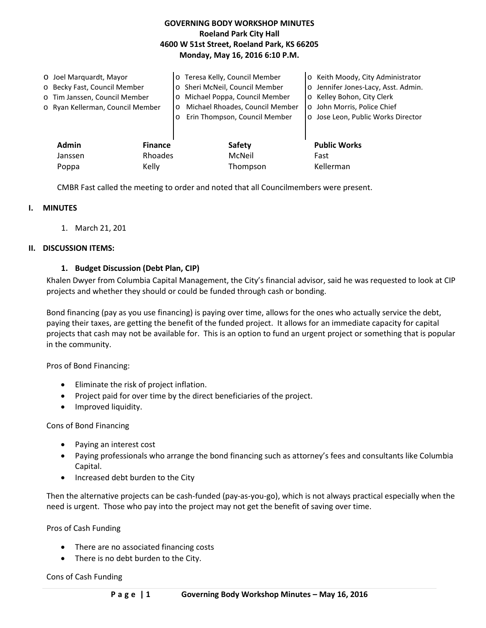## **GOVERNING BODY WORKSHOP MINUTES Roeland Park City Hall 4600 W 51st Street, Roeland Park, KS 66205 Monday, May 16, 2016 6:10 P.M.**

| O Joel Marquardt, Mayor<br>o Becky Fast, Council Member<br>o Tim Janssen, Council Member<br>o Ryan Kellerman, Council Member |                           | o Teresa Kelly, Council Member<br>Sheri McNeil, Council Member<br>Michael Poppa, Council Member<br>$\circ$<br>Michael Rhoades, Council Member<br>$\circ$<br>Erin Thompson, Council Member<br>$\Omega$ | o Keith Moody, City Administrator<br>o Jennifer Jones-Lacy, Asst. Admin.<br>o Kelley Bohon, City Clerk<br>o John Morris, Police Chief<br>o Jose Leon, Public Works Director |
|------------------------------------------------------------------------------------------------------------------------------|---------------------------|-------------------------------------------------------------------------------------------------------------------------------------------------------------------------------------------------------|-----------------------------------------------------------------------------------------------------------------------------------------------------------------------------|
| <b>Admin</b><br>Janssen                                                                                                      | <b>Finance</b><br>Rhoades | <b>Safety</b><br>McNeil                                                                                                                                                                               | <b>Public Works</b><br>Fast                                                                                                                                                 |
| Poppa                                                                                                                        | Kelly                     | Thompson                                                                                                                                                                                              | Kellerman                                                                                                                                                                   |

CMBR Fast called the meeting to order and noted that all Councilmembers were present.

#### **I. MINUTES**

1. March 21, 201

### **II. DISCUSSION ITEMS:**

#### **1. Budget Discussion (Debt Plan, CIP)**

Khalen Dwyer from Columbia Capital Management, the City's financial advisor, said he was requested to look at CIP projects and whether they should or could be funded through cash or bonding.

Bond financing (pay as you use financing) is paying over time, allows for the ones who actually service the debt, paying their taxes, are getting the benefit of the funded project. It allows for an immediate capacity for capital projects that cash may not be available for. This is an option to fund an urgent project or something that is popular in the community.

Pros of Bond Financing:

- Eliminate the risk of project inflation.
- Project paid for over time by the direct beneficiaries of the project.
- Improved liquidity.

Cons of Bond Financing

- Paying an interest cost
- Paying professionals who arrange the bond financing such as attorney's fees and consultants like Columbia Capital.
- Increased debt burden to the City

Then the alternative projects can be cash-funded (pay-as-you-go), which is not always practical especially when the need is urgent. Those who pay into the project may not get the benefit of saving over time.

Pros of Cash Funding

- There are no associated financing costs
- There is no debt burden to the City.

Cons of Cash Funding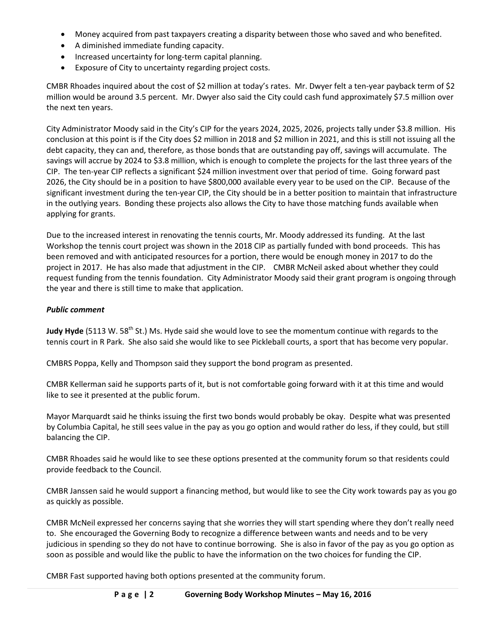- Money acquired from past taxpayers creating a disparity between those who saved and who benefited.
- A diminished immediate funding capacity.
- Increased uncertainty for long-term capital planning.
- Exposure of City to uncertainty regarding project costs.

CMBR Rhoades inquired about the cost of \$2 million at today's rates. Mr. Dwyer felt a ten-year payback term of \$2 million would be around 3.5 percent. Mr. Dwyer also said the City could cash fund approximately \$7.5 million over the next ten years.

City Administrator Moody said in the City's CIP for the years 2024, 2025, 2026, projects tally under \$3.8 million. His conclusion at this point is if the City does \$2 million in 2018 and \$2 million in 2021, and this is still not issuing all the debt capacity, they can and, therefore, as those bonds that are outstanding pay off, savings will accumulate. The savings will accrue by 2024 to \$3.8 million, which is enough to complete the projects for the last three years of the CIP. The ten-year CIP reflects a significant \$24 million investment over that period of time. Going forward past 2026, the City should be in a position to have \$800,000 available every year to be used on the CIP. Because of the significant investment during the ten-year CIP, the City should be in a better position to maintain that infrastructure in the outlying years. Bonding these projects also allows the City to have those matching funds available when applying for grants.

Due to the increased interest in renovating the tennis courts, Mr. Moody addressed its funding. At the last Workshop the tennis court project was shown in the 2018 CIP as partially funded with bond proceeds. This has been removed and with anticipated resources for a portion, there would be enough money in 2017 to do the project in 2017. He has also made that adjustment in the CIP. CMBR McNeil asked about whether they could request funding from the tennis foundation. City Administrator Moody said their grant program is ongoing through the year and there is still time to make that application.

#### *Public comment*

**Judy Hyde** (5113 W. 58<sup>th</sup> St.) Ms. Hyde said she would love to see the momentum continue with regards to the tennis court in R Park. She also said she would like to see Pickleball courts, a sport that has become very popular.

CMBRS Poppa, Kelly and Thompson said they support the bond program as presented.

CMBR Kellerman said he supports parts of it, but is not comfortable going forward with it at this time and would like to see it presented at the public forum.

Mayor Marquardt said he thinks issuing the first two bonds would probably be okay. Despite what was presented by Columbia Capital, he still sees value in the pay as you go option and would rather do less, if they could, but still balancing the CIP.

CMBR Rhoades said he would like to see these options presented at the community forum so that residents could provide feedback to the Council.

CMBR Janssen said he would support a financing method, but would like to see the City work towards pay as you go as quickly as possible.

CMBR McNeil expressed her concerns saying that she worries they will start spending where they don't really need to. She encouraged the Governing Body to recognize a difference between wants and needs and to be very judicious in spending so they do not have to continue borrowing. She is also in favor of the pay as you go option as soon as possible and would like the public to have the information on the two choices for funding the CIP.

CMBR Fast supported having both options presented at the community forum.